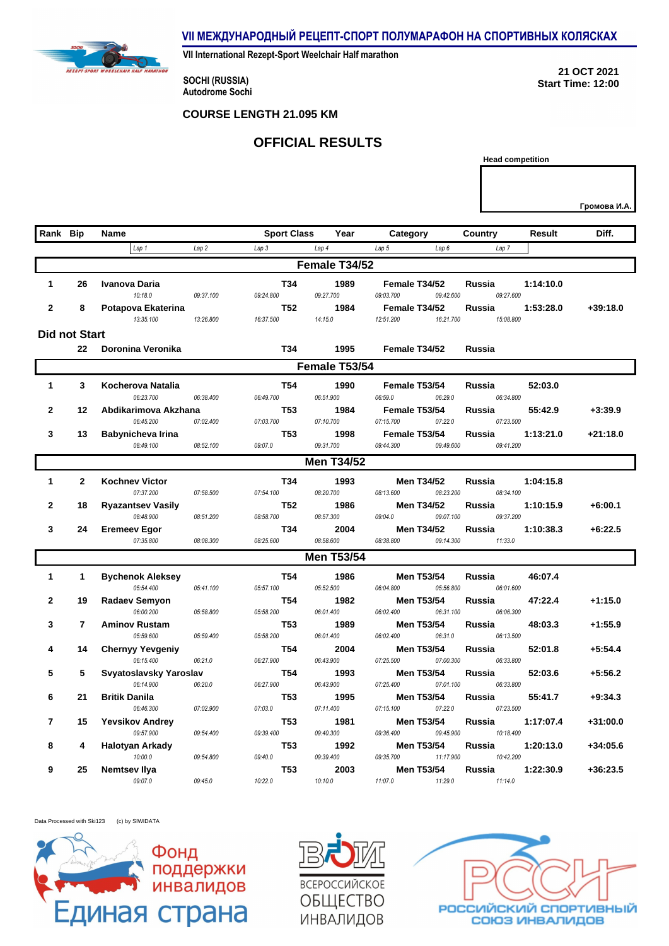**VII МЕЖДУНАРОДНЫЙ РЕЦЕПТ-СПОРТ ПОЛУМАРАФОН НА СПОРТИВНЫХ КОЛЯСКАХ**

**VII International Rezept-Sport Weelchair Half marathon**

**SOCHI (RUSSIA) Autodrome Sochi** 

REZEPT-S

**21 OCT 2021 Start Time: 12:00**

**Head competition**

## **COURSE LENGTH 21.095 KM**

## **OFFICIAL RESULTS**

| Rank Bip       |                      | <b>Name</b>                          |           | <b>Sport Class</b> |    | Year              | Category                             | <b>Country</b>      | Result    | Diff.      |
|----------------|----------------------|--------------------------------------|-----------|--------------------|----|-------------------|--------------------------------------|---------------------|-----------|------------|
|                |                      | Lap <sub>1</sub>                     | Lap2      | Lap 3              |    | Lap 4             | Lap 5<br>Lap6                        | Lap 7               |           |            |
|                |                      |                                      |           |                    |    | Female T34/52     |                                      |                     |           |            |
| 1              | 26                   | Ivanova Daria                        |           |                    | 34 | 1989              | Female T34/52                        | Russia              | 1:14:10.0 |            |
|                |                      | 10:18.0                              | 09:37.100 | 09:24.800          |    | 09:27.700         | 09:03.700<br>09:42.600               | 09:27.600           |           |            |
| $\mathbf{2}$   | 8                    | Potapova Ekaterina                   |           |                    | 52 | 1984              | Female T34/52                        | <b>Russia</b>       | 1:53:28.0 | $+39:18.0$ |
|                |                      | 13:35.100                            | 13:26.800 | 16:37.500          |    | 14:15.0           | 12:51.200<br>16:21.700               | 15:08.800           |           |            |
|                | <b>Did not Start</b> |                                      |           |                    |    |                   |                                      |                     |           |            |
|                | 22                   | Doronina Veronika                    |           |                    | 34 | 1995              | Female T34/52                        | <b>Russia</b>       |           |            |
|                |                      |                                      |           |                    |    | Female T53/54     |                                      |                     |           |            |
| $\mathbf{1}$   | 3                    | Kocherova Natalia                    |           |                    | 54 | 1990              | Female T53/54                        | <b>Russia</b>       | 52:03.0   |            |
|                |                      | 06:23.700                            | 06:38.400 | 06:49.700          |    | 06:51.900         | 06:59.0<br>06:29.0                   | 06:34.800           |           |            |
| $\overline{2}$ | 12                   | Abdikarimova Akzhana                 |           |                    | 53 | 1984              | Female T53/54                        | Russia              | 55:42.9   | $+3:39.9$  |
|                |                      | 06:45.200                            | 07:02.400 | 07:03.700          |    | 07:10.700         | 07:15.700<br>07:22.0                 | 07:23.500           |           |            |
| 3              | 13                   | Babynicheva Irina                    |           |                    | 53 | 1998              | Female T53/54                        | Russia              | 1:13:21.0 | +21:18.0   |
|                |                      | 08:49.100                            | 08:52.100 | 09:07.0            |    | 09:31.700         | 09:44.300<br>09:49.600               | 09:41.200           |           |            |
|                |                      |                                      |           |                    |    | <b>Men T34/52</b> |                                      |                     |           |            |
| $\mathbf{1}$   | $\mathbf{2}$         | <b>Kochney Victor</b>                |           |                    | 34 | 1993              | <b>Men T34/52</b>                    | <b>Russia</b>       | 1:04:15.8 |            |
|                |                      | 07:37.200                            | 07:58.500 | 07:54.100          |    | 08:20.700         | 08:13.600<br>08:23.200               | 08:34.100           |           |            |
| $\mathbf{2}$   | 18                   | <b>Ryazantsev Vasily</b>             |           |                    | 52 | 1986              | <b>Men T34/52</b>                    | <b>Russia</b>       | 1:10:15.9 | $+6:00.1$  |
|                |                      | 08:48.900                            | 08:51.200 | 08:58.700          |    | 08:57.300         | 09:04.0<br>09:07.100                 | 09:37.200           |           |            |
| 3              | 24                   | <b>Eremeev Egor</b>                  |           |                    | 34 | 2004              | <b>Men T34/52</b>                    | Russia              | 1:10:38.3 | $+6:22.5$  |
|                |                      | 07:35.800                            | 08:08.300 | 08:25.600          |    | 08:58.600         | 09:14.300<br>08:38.800               | 11:33.0             |           |            |
|                |                      |                                      |           |                    |    | <b>Men T53/54</b> |                                      |                     |           |            |
| 1              | $\mathbf{1}$         | <b>Bychenok Aleksey</b>              |           |                    | 54 | 1986              | <b>Men T53/54</b>                    | Russia              | 46:07.4   |            |
|                |                      | 05:54.400                            | 05:41.100 | 05:57.100          |    | 05:52.500         | 06:04.800<br>05:56.800               | 06:01.600           |           |            |
| $\mathbf{2}$   | 19                   | <b>Radaev Semyon</b>                 |           |                    | 54 | 1982              | <b>Men T53/54</b>                    | <b>Russia</b>       | 47:22.4   | $+1:15.0$  |
|                |                      | 06:00.200                            | 05:58.800 | 05:58.200          |    | 06:01.400         | 06:02.400<br>06:31.100               | 06:06.300           |           |            |
| 3              | $\overline{7}$       | <b>Aminov Rustam</b>                 |           |                    | 53 | 1989              | <b>Men T53/54</b>                    | <b>Russia</b>       | 48:03.3   | $+1:55.9$  |
|                |                      | 05:59.600                            | 05:59.400 | 05:58.200          |    | 06:01.400         | 06:02.400<br>06:31.0                 | 06:13.500           |           |            |
| Δ              | 14                   | <b>Chernyy Yevgeniy</b><br>06:15.400 | 06:21.0   | 06:27.900          | 54 | 2004<br>06:43.900 | Men T53/54<br>07:25.500<br>07:00.300 | Russia<br>06:33.800 | 52:01.8   | $+5:54.4$  |
| 5              | 5                    | Svyatoslavsky Yaroslav               |           |                    | 54 | 1993              | <b>Men T53/54</b>                    | Russia              | 52:03.6   | $+5:56.2$  |
|                |                      | 06:14.900                            | 06:20.0   | 06:27.900          |    | 06:43.900         | 07:25.400<br>07:01.100               | 06:33.800           |           |            |
| 6              | 21                   | <b>Britik Danila</b>                 |           |                    | 53 | 1995              | <b>Men T53/54</b>                    | Russia              | 55:41.7   | $+9:34.3$  |
|                |                      | 06:46.300                            | 07:02.900 | 07:03.0            |    | 07:11.400         | 07:15.100<br>07:22.0                 | 07:23.500           |           |            |
| 7              | 15                   | <b>Yevsikov Andrey</b>               |           |                    | 53 | 1981              | <b>Men T53/54</b>                    | <b>Russia</b>       | 1:17:07.4 | +31:00.0   |
|                |                      | 09:57.900                            | 09:54.400 | 09:39.400          |    | 09:40.300         | 09:36.400<br>09:45.900               | 10:18.400           |           |            |
| 8              | 4                    | Halotyan Arkady                      |           |                    | 53 | 1992              | <b>Men T53/54</b>                    | Russia              | 1:20:13.0 | $+34:05.6$ |
|                |                      | 10:00.0                              | 09:54.800 | 09:40.0            |    | 09:39.400         | 09:35.700<br>11:17.900               | 10:42.200           |           |            |
| 9              | 25                   | Nemtsev Ilya                         |           |                    | 53 | 2003              | <b>Men T53/54</b>                    | Russia              | 1:22:30.9 | +36:23.5   |
|                |                      | 09:07.0                              | 09:45.0   | 10:22.0            |    | 10:10.0           | 11:07.0<br>11:29.0                   | 11:14.0             |           |            |

Data Processed with Ski123 (c) by SIWIDATA